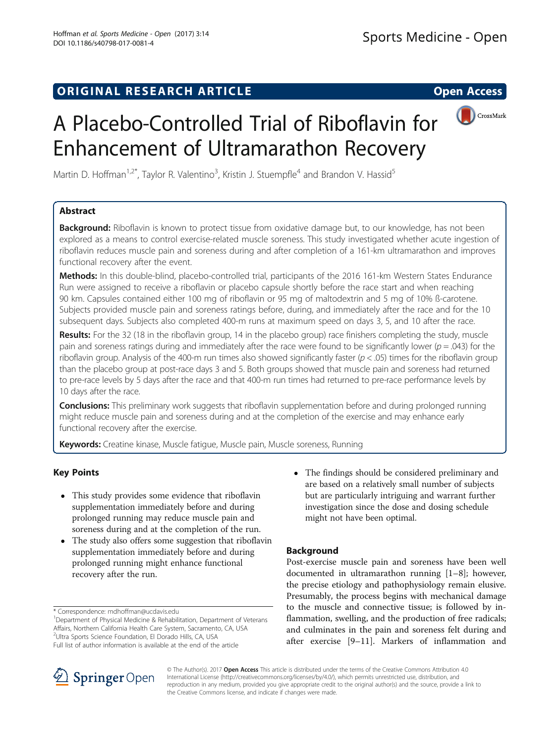# **ORIGINAL RESEARCH ARTICLE CONSUMING ACCESS**



# A Placebo-Controlled Trial of Riboflavin for Enhancement of Ultramarathon Recovery

Martin D. Hoffman<sup>1,2\*</sup>, Taylor R. Valentino<sup>3</sup>, Kristin J. Stuempfle<sup>4</sup> and Brandon V. Hassid<sup>5</sup>

# Abstract

Background: Riboflavin is known to protect tissue from oxidative damage but, to our knowledge, has not been explored as a means to control exercise-related muscle soreness. This study investigated whether acute ingestion of riboflavin reduces muscle pain and soreness during and after completion of a 161-km ultramarathon and improves functional recovery after the event.

Methods: In this double-blind, placebo-controlled trial, participants of the 2016 161-km Western States Endurance Run were assigned to receive a riboflavin or placebo capsule shortly before the race start and when reaching 90 km. Capsules contained either 100 mg of riboflavin or 95 mg of maltodextrin and 5 mg of 10% ß-carotene. Subjects provided muscle pain and soreness ratings before, during, and immediately after the race and for the 10 subsequent days. Subjects also completed 400-m runs at maximum speed on days 3, 5, and 10 after the race.

Results: For the 32 (18 in the riboflavin group, 14 in the placebo group) race finishers completing the study, muscle pain and soreness ratings during and immediately after the race were found to be significantly lower ( $p = .043$ ) for the riboflavin group. Analysis of the 400-m run times also showed significantly faster ( $p < .05$ ) times for the riboflavin group than the placebo group at post-race days 3 and 5. Both groups showed that muscle pain and soreness had returned to pre-race levels by 5 days after the race and that 400-m run times had returned to pre-race performance levels by 10 days after the race.

**Conclusions:** This preliminary work suggests that riboflavin supplementation before and during prolonged running might reduce muscle pain and soreness during and at the completion of the exercise and may enhance early functional recovery after the exercise.

Keywords: Creatine kinase, Muscle fatigue, Muscle pain, Muscle soreness, Running

# Key Points

- This study provides some evidence that riboflavin supplementation immediately before and during prolonged running may reduce muscle pain and soreness during and at the completion of the run.
- The study also offers some suggestion that riboflavin supplementation immediately before and during prolonged running might enhance functional recovery after the run.

\* Correspondence: [mdhoffman@ucdavis.edu](mailto:mdhoffman@ucdavis.edu) <sup>1</sup>

<sup>1</sup>Department of Physical Medicine & Rehabilitation, Department of Veterans Affairs, Northern California Health Care System, Sacramento, CA, USA 2 Ultra Sports Science Foundation, El Dorado Hills, CA, USA Full list of author information is available at the end of the article

 The findings should be considered preliminary and are based on a relatively small number of subjects but are particularly intriguing and warrant further investigation since the dose and dosing schedule might not have been optimal.

# Background

Post-exercise muscle pain and soreness have been well documented in ultramarathon running [[1](#page-6-0)–[8\]](#page-6-0); however, the precise etiology and pathophysiology remain elusive. Presumably, the process begins with mechanical damage to the muscle and connective tissue; is followed by inflammation, swelling, and the production of free radicals; and culminates in the pain and soreness felt during and after exercise [[9](#page-6-0)–[11\]](#page-6-0). Markers of inflammation and



© The Author(s). 2017 **Open Access** This article is distributed under the terms of the Creative Commons Attribution 4.0 International License ([http://creativecommons.org/licenses/by/4.0/\)](http://creativecommons.org/licenses/by/4.0/), which permits unrestricted use, distribution, and reproduction in any medium, provided you give appropriate credit to the original author(s) and the source, provide a link to the Creative Commons license, and indicate if changes were made.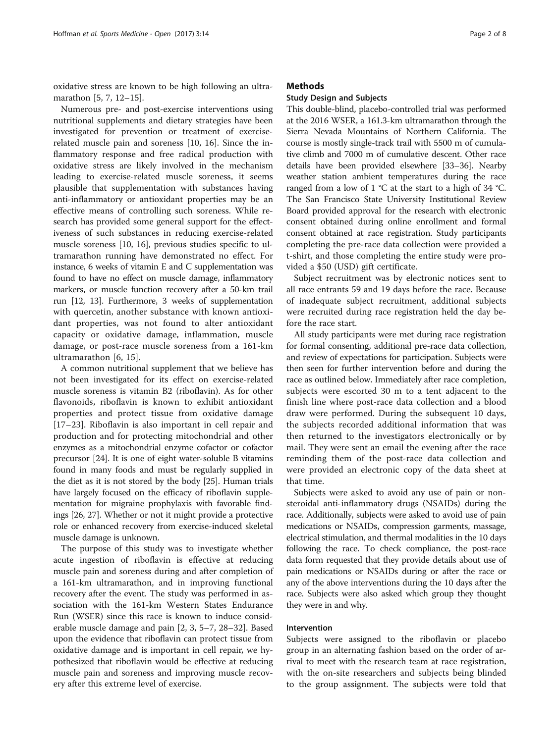oxidative stress are known to be high following an ultramarathon [[5](#page-6-0), [7](#page-6-0), [12](#page-6-0)–[15](#page-6-0)].

Numerous pre- and post-exercise interventions using nutritional supplements and dietary strategies have been investigated for prevention or treatment of exerciserelated muscle pain and soreness [\[10, 16\]](#page-6-0). Since the inflammatory response and free radical production with oxidative stress are likely involved in the mechanism leading to exercise-related muscle soreness, it seems plausible that supplementation with substances having anti-inflammatory or antioxidant properties may be an effective means of controlling such soreness. While research has provided some general support for the effectiveness of such substances in reducing exercise-related muscle soreness [[10, 16\]](#page-6-0), previous studies specific to ultramarathon running have demonstrated no effect. For instance, 6 weeks of vitamin E and C supplementation was found to have no effect on muscle damage, inflammatory markers, or muscle function recovery after a 50-km trail run [[12](#page-6-0), [13\]](#page-6-0). Furthermore, 3 weeks of supplementation with quercetin, another substance with known antioxidant properties, was not found to alter antioxidant capacity or oxidative damage, inflammation, muscle damage, or post-race muscle soreness from a 161-km ultramarathon [[6, 15](#page-6-0)].

A common nutritional supplement that we believe has not been investigated for its effect on exercise-related muscle soreness is vitamin B2 (riboflavin). As for other flavonoids, riboflavin is known to exhibit antioxidant properties and protect tissue from oxidative damage [[17](#page-6-0)–[23\]](#page-6-0). Riboflavin is also important in cell repair and production and for protecting mitochondrial and other enzymes as a mitochondrial enzyme cofactor or cofactor precursor [[24](#page-6-0)]. It is one of eight water-soluble B vitamins found in many foods and must be regularly supplied in the diet as it is not stored by the body [\[25\]](#page-6-0). Human trials have largely focused on the efficacy of riboflavin supplementation for migraine prophylaxis with favorable findings [[26](#page-6-0), [27\]](#page-6-0). Whether or not it might provide a protective role or enhanced recovery from exercise-induced skeletal muscle damage is unknown.

The purpose of this study was to investigate whether acute ingestion of riboflavin is effective at reducing muscle pain and soreness during and after completion of a 161-km ultramarathon, and in improving functional recovery after the event. The study was performed in association with the 161-km Western States Endurance Run (WSER) since this race is known to induce considerable muscle damage and pain [[2, 3, 5](#page-6-0)–[7, 28](#page-6-0)–[32](#page-7-0)]. Based upon the evidence that riboflavin can protect tissue from oxidative damage and is important in cell repair, we hypothesized that riboflavin would be effective at reducing muscle pain and soreness and improving muscle recovery after this extreme level of exercise.

# **Methods**

## Study Design and Subjects

This double-blind, placebo-controlled trial was performed at the 2016 WSER, a 161.3-km ultramarathon through the Sierra Nevada Mountains of Northern California. The course is mostly single-track trail with 5500 m of cumulative climb and 7000 m of cumulative descent. Other race details have been provided elsewhere [\[33](#page-7-0)–[36\]](#page-7-0). Nearby weather station ambient temperatures during the race ranged from a low of 1 °C at the start to a high of 34 °C. The San Francisco State University Institutional Review Board provided approval for the research with electronic consent obtained during online enrollment and formal consent obtained at race registration. Study participants completing the pre-race data collection were provided a t-shirt, and those completing the entire study were provided a \$50 (USD) gift certificate.

Subject recruitment was by electronic notices sent to all race entrants 59 and 19 days before the race. Because of inadequate subject recruitment, additional subjects were recruited during race registration held the day before the race start.

All study participants were met during race registration for formal consenting, additional pre-race data collection, and review of expectations for participation. Subjects were then seen for further intervention before and during the race as outlined below. Immediately after race completion, subjects were escorted 30 m to a tent adjacent to the finish line where post-race data collection and a blood draw were performed. During the subsequent 10 days, the subjects recorded additional information that was then returned to the investigators electronically or by mail. They were sent an email the evening after the race reminding them of the post-race data collection and were provided an electronic copy of the data sheet at that time.

Subjects were asked to avoid any use of pain or nonsteroidal anti-inflammatory drugs (NSAIDs) during the race. Additionally, subjects were asked to avoid use of pain medications or NSAIDs, compression garments, massage, electrical stimulation, and thermal modalities in the 10 days following the race. To check compliance, the post-race data form requested that they provide details about use of pain medications or NSAIDs during or after the race or any of the above interventions during the 10 days after the race. Subjects were also asked which group they thought they were in and why.

## Intervention

Subjects were assigned to the riboflavin or placebo group in an alternating fashion based on the order of arrival to meet with the research team at race registration, with the on-site researchers and subjects being blinded to the group assignment. The subjects were told that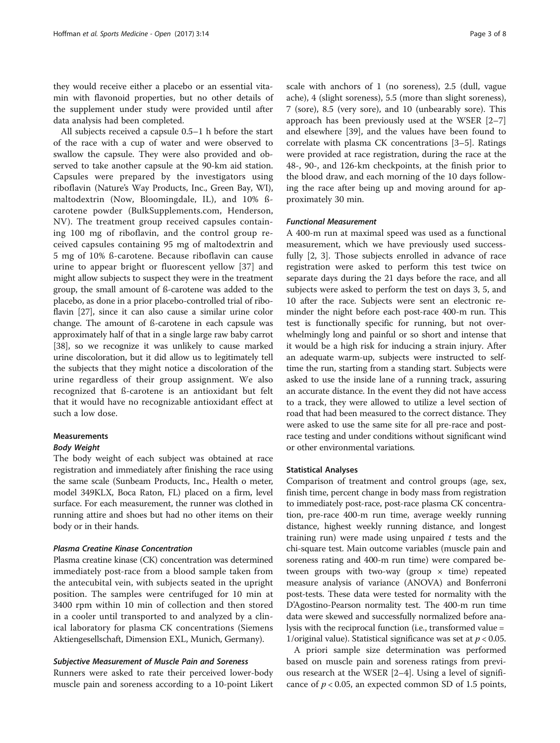they would receive either a placebo or an essential vitamin with flavonoid properties, but no other details of the supplement under study were provided until after data analysis had been completed.

All subjects received a capsule 0.5–1 h before the start of the race with a cup of water and were observed to swallow the capsule. They were also provided and observed to take another capsule at the 90-km aid station. Capsules were prepared by the investigators using riboflavin (Nature's Way Products, Inc., Green Bay, WI), maltodextrin (Now, Bloomingdale, IL), and 10% ßcarotene powder (BulkSupplements.com, Henderson, NV). The treatment group received capsules containing 100 mg of riboflavin, and the control group received capsules containing 95 mg of maltodextrin and 5 mg of 10% ß-carotene. Because riboflavin can cause urine to appear bright or fluorescent yellow [\[37\]](#page-7-0) and might allow subjects to suspect they were in the treatment group, the small amount of ß-carotene was added to the placebo, as done in a prior placebo-controlled trial of riboflavin [[27\]](#page-6-0), since it can also cause a similar urine color change. The amount of ß-carotene in each capsule was approximately half of that in a single large raw baby carrot [[38](#page-7-0)], so we recognize it was unlikely to cause marked urine discoloration, but it did allow us to legitimately tell the subjects that they might notice a discoloration of the urine regardless of their group assignment. We also recognized that ß-carotene is an antioxidant but felt that it would have no recognizable antioxidant effect at such a low dose.

# Measurements

#### Body Weight

The body weight of each subject was obtained at race registration and immediately after finishing the race using the same scale (Sunbeam Products, Inc., Health o meter, model 349KLX, Boca Raton, FL) placed on a firm, level surface. For each measurement, the runner was clothed in running attire and shoes but had no other items on their body or in their hands.

## Plasma Creatine Kinase Concentration

Plasma creatine kinase (CK) concentration was determined immediately post-race from a blood sample taken from the antecubital vein, with subjects seated in the upright position. The samples were centrifuged for 10 min at 3400 rpm within 10 min of collection and then stored in a cooler until transported to and analyzed by a clinical laboratory for plasma CK concentrations (Siemens Aktiengesellschaft, Dimension EXL, Munich, Germany).

### Subjective Measurement of Muscle Pain and Soreness

Runners were asked to rate their perceived lower-body muscle pain and soreness according to a 10-point Likert scale with anchors of 1 (no soreness), 2.5 (dull, vague ache), 4 (slight soreness), 5.5 (more than slight soreness), 7 (sore), 8.5 (very sore), and 10 (unbearably sore). This approach has been previously used at the WSER [[2](#page-6-0)–[7](#page-6-0)] and elsewhere [\[39\]](#page-7-0), and the values have been found to correlate with plasma CK concentrations [\[3](#page-6-0)–[5](#page-6-0)]. Ratings were provided at race registration, during the race at the 48-, 90-, and 126-km checkpoints, at the finish prior to the blood draw, and each morning of the 10 days following the race after being up and moving around for approximately 30 min.

## Functional Measurement

A 400-m run at maximal speed was used as a functional measurement, which we have previously used successfully [[2, 3](#page-6-0)]. Those subjects enrolled in advance of race registration were asked to perform this test twice on separate days during the 21 days before the race, and all subjects were asked to perform the test on days 3, 5, and 10 after the race. Subjects were sent an electronic reminder the night before each post-race 400-m run. This test is functionally specific for running, but not overwhelmingly long and painful or so short and intense that it would be a high risk for inducing a strain injury. After an adequate warm-up, subjects were instructed to selftime the run, starting from a standing start. Subjects were asked to use the inside lane of a running track, assuring an accurate distance. In the event they did not have access to a track, they were allowed to utilize a level section of road that had been measured to the correct distance. They were asked to use the same site for all pre-race and postrace testing and under conditions without significant wind or other environmental variations.

### Statistical Analyses

Comparison of treatment and control groups (age, sex, finish time, percent change in body mass from registration to immediately post-race, post-race plasma CK concentration, pre-race 400-m run time, average weekly running distance, highest weekly running distance, and longest training run) were made using unpaired  $t$  tests and the chi-square test. Main outcome variables (muscle pain and soreness rating and 400-m run time) were compared between groups with two-way (group  $\times$  time) repeated measure analysis of variance (ANOVA) and Bonferroni post-tests. These data were tested for normality with the D'Agostino-Pearson normality test. The 400-m run time data were skewed and successfully normalized before analysis with the reciprocal function (i.e., transformed value = 1/original value). Statistical significance was set at  $p < 0.05$ .

A priori sample size determination was performed based on muscle pain and soreness ratings from previous research at the WSER [\[2](#page-6-0)–[4\]](#page-6-0). Using a level of significance of  $p < 0.05$ , an expected common SD of 1.5 points,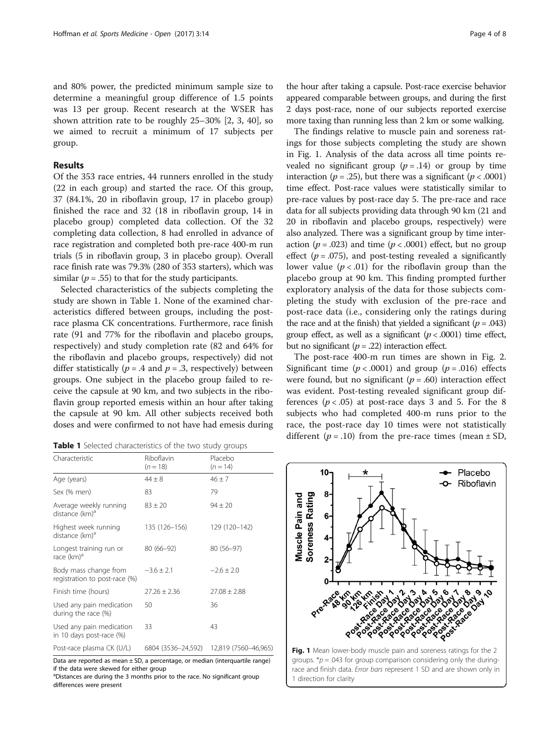<span id="page-3-0"></span>and 80% power, the predicted minimum sample size to determine a meaningful group difference of 1.5 points was 13 per group. Recent research at the WSER has shown attrition rate to be roughly 25–30% [[2, 3](#page-6-0), [40\]](#page-7-0), so we aimed to recruit a minimum of 17 subjects per group.

# Results

Of the 353 race entries, 44 runners enrolled in the study (22 in each group) and started the race. Of this group, 37 (84.1%, 20 in riboflavin group, 17 in placebo group) finished the race and 32 (18 in riboflavin group, 14 in placebo group) completed data collection. Of the 32 completing data collection, 8 had enrolled in advance of race registration and completed both pre-race 400-m run trials (5 in riboflavin group, 3 in placebo group). Overall race finish rate was 79.3% (280 of 353 starters), which was similar ( $p = .55$ ) to that for the study participants.

Selected characteristics of the subjects completing the study are shown in Table 1. None of the examined characteristics differed between groups, including the postrace plasma CK concentrations. Furthermore, race finish rate (91 and 77% for the riboflavin and placebo groups, respectively) and study completion rate (82 and 64% for the riboflavin and placebo groups, respectively) did not differ statistically ( $p = .4$  and  $p = .3$ , respectively) between groups. One subject in the placebo group failed to receive the capsule at 90 km, and two subjects in the riboflavin group reported emesis within an hour after taking the capsule at 90 km. All other subjects received both doses and were confirmed to not have had emesis during

Table 1 Selected characteristics of the two study groups

| Characteristic                                         | Riboflavin<br>$(n = 18)$ | Placebo<br>$(n = 14)$ |
|--------------------------------------------------------|--------------------------|-----------------------|
| Age (years)                                            | $44 \pm 8$               | $46 \pm 7$            |
| Sex (% men)                                            | 83                       | 79                    |
| Average weekly running<br>distance (km) <sup>a</sup>   | $83 \pm 20$              | $94 \pm 20$           |
| Highest week running<br>distance (km) <sup>a</sup>     | 135 (126–156)            | 129 (120-142)         |
| Longest training run or<br>race (km) <sup>a</sup>      | $80(66-92)$              | 80 (56-97)            |
| Body mass change from<br>registration to post-race (%) | $-3.6 \pm 2.1$           | $-2.6 \pm 2.0$        |
| Finish time (hours)                                    | $27.26 \pm 2.36$         | $27.08 \pm 2.88$      |
| Used any pain medication<br>during the race (%)        | 50                       | 36                    |
| Used any pain medication<br>in 10 days post-race (%)   | 33                       | 43                    |
| Post-race plasma CK (U/L)                              | 6804 (3536-24,592)       | 12,819 (7560-46,965)  |

Data are reported as mean ± SD, a percentage, or median (interquartile range) if the data were skewed for either group

<sup>a</sup>Distances are during the 3 months prior to the race. No significant group differences were present

the hour after taking a capsule. Post-race exercise behavior appeared comparable between groups, and during the first 2 days post-race, none of our subjects reported exercise more taxing than running less than 2 km or some walking.

The findings relative to muscle pain and soreness ratings for those subjects completing the study are shown in Fig. 1. Analysis of the data across all time points revealed no significant group  $(p=.14)$  or group by time interaction ( $p = .25$ ), but there was a significant ( $p < .0001$ ) time effect. Post-race values were statistically similar to pre-race values by post-race day 5. The pre-race and race data for all subjects providing data through 90 km (21 and 20 in riboflavin and placebo groups, respectively) were also analyzed. There was a significant group by time interaction ( $p = .023$ ) and time ( $p < .0001$ ) effect, but no group effect ( $p = .075$ ), and post-testing revealed a significantly lower value ( $p < .01$ ) for the riboflavin group than the placebo group at 90 km. This finding prompted further exploratory analysis of the data for those subjects completing the study with exclusion of the pre-race and post-race data (i.e., considering only the ratings during the race and at the finish) that yielded a significant ( $p = .043$ ) group effect, as well as a significant ( $p < .0001$ ) time effect, but no significant ( $p = .22$ ) interaction effect.

The post-race 400-m run times are shown in Fig. [2](#page-4-0). Significant time ( $p < .0001$ ) and group ( $p = .016$ ) effects were found, but no significant  $(p = .60)$  interaction effect was evident. Post-testing revealed significant group differences ( $p < .05$ ) at post-race days 3 and 5. For the 8 subjects who had completed 400-m runs prior to the race, the post-race day 10 times were not statistically different ( $p = .10$ ) from the pre-race times (mean  $\pm$  SD,

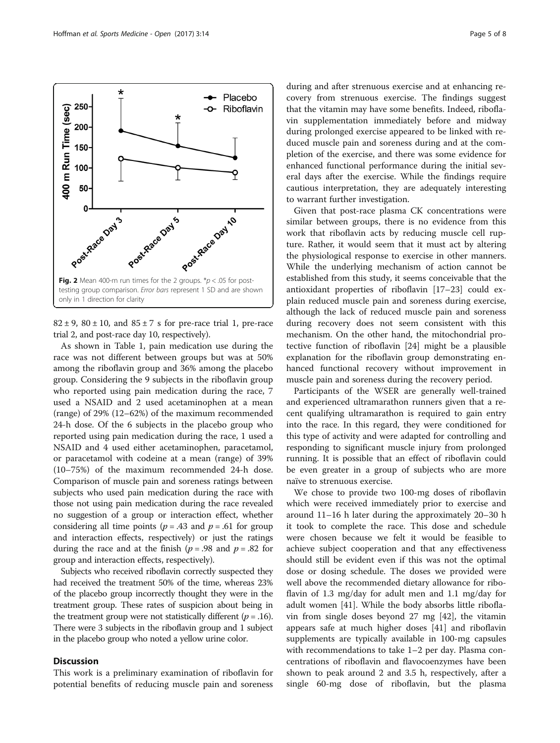

<span id="page-4-0"></span>

 $82 \pm 9$ ,  $80 \pm 10$ , and  $85 \pm 7$  s for pre-race trial 1, pre-race trial 2, and post-race day 10, respectively).

As shown in Table [1,](#page-3-0) pain medication use during the race was not different between groups but was at 50% among the riboflavin group and 36% among the placebo group. Considering the 9 subjects in the riboflavin group who reported using pain medication during the race, 7 used a NSAID and 2 used acetaminophen at a mean (range) of 29% (12–62%) of the maximum recommended 24-h dose. Of the 6 subjects in the placebo group who reported using pain medication during the race, 1 used a NSAID and 4 used either acetaminophen, paracetamol, or paracetamol with codeine at a mean (range) of 39% (10–75%) of the maximum recommended 24-h dose. Comparison of muscle pain and soreness ratings between subjects who used pain medication during the race with those not using pain medication during the race revealed no suggestion of a group or interaction effect, whether considering all time points ( $p = .43$  and  $p = .61$  for group and interaction effects, respectively) or just the ratings during the race and at the finish ( $p = .98$  and  $p = .82$  for group and interaction effects, respectively).

Subjects who received riboflavin correctly suspected they had received the treatment 50% of the time, whereas 23% of the placebo group incorrectly thought they were in the treatment group. These rates of suspicion about being in the treatment group were not statistically different ( $p = .16$ ). There were 3 subjects in the riboflavin group and 1 subject in the placebo group who noted a yellow urine color.

# **Discussion**

This work is a preliminary examination of riboflavin for potential benefits of reducing muscle pain and soreness

during and after strenuous exercise and at enhancing recovery from strenuous exercise. The findings suggest that the vitamin may have some benefits. Indeed, riboflavin supplementation immediately before and midway during prolonged exercise appeared to be linked with reduced muscle pain and soreness during and at the completion of the exercise, and there was some evidence for enhanced functional performance during the initial several days after the exercise. While the findings require cautious interpretation, they are adequately interesting to warrant further investigation.

Given that post-race plasma CK concentrations were similar between groups, there is no evidence from this work that riboflavin acts by reducing muscle cell rupture. Rather, it would seem that it must act by altering the physiological response to exercise in other manners. While the underlying mechanism of action cannot be established from this study, it seems conceivable that the antioxidant properties of riboflavin [[17](#page-6-0)–[23](#page-6-0)] could explain reduced muscle pain and soreness during exercise, although the lack of reduced muscle pain and soreness during recovery does not seem consistent with this mechanism. On the other hand, the mitochondrial protective function of riboflavin [[24\]](#page-6-0) might be a plausible explanation for the riboflavin group demonstrating enhanced functional recovery without improvement in muscle pain and soreness during the recovery period.

Participants of the WSER are generally well-trained and experienced ultramarathon runners given that a recent qualifying ultramarathon is required to gain entry into the race. In this regard, they were conditioned for this type of activity and were adapted for controlling and responding to significant muscle injury from prolonged running. It is possible that an effect of riboflavin could be even greater in a group of subjects who are more naïve to strenuous exercise.

We chose to provide two 100-mg doses of riboflavin which were received immediately prior to exercise and around 11–16 h later during the approximately 20–30 h it took to complete the race. This dose and schedule were chosen because we felt it would be feasible to achieve subject cooperation and that any effectiveness should still be evident even if this was not the optimal dose or dosing schedule. The doses we provided were well above the recommended dietary allowance for riboflavin of 1.3 mg/day for adult men and 1.1 mg/day for adult women [[41](#page-7-0)]. While the body absorbs little riboflavin from single doses beyond 27 mg [\[42](#page-7-0)], the vitamin appears safe at much higher doses [\[41](#page-7-0)] and riboflavin supplements are typically available in 100-mg capsules with recommendations to take 1–2 per day. Plasma concentrations of riboflavin and flavocoenzymes have been shown to peak around 2 and 3.5 h, respectively, after a single 60-mg dose of riboflavin, but the plasma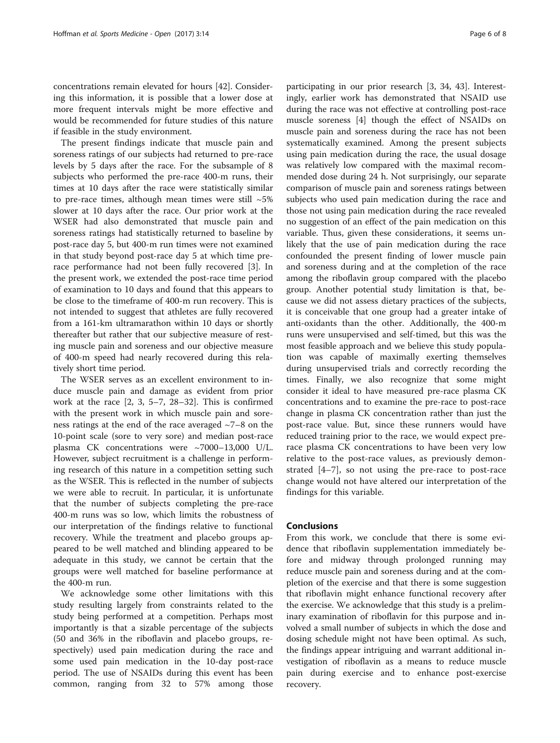concentrations remain elevated for hours [\[42\]](#page-7-0). Considering this information, it is possible that a lower dose at more frequent intervals might be more effective and would be recommended for future studies of this nature if feasible in the study environment.

The present findings indicate that muscle pain and soreness ratings of our subjects had returned to pre-race levels by 5 days after the race. For the subsample of 8 subjects who performed the pre-race 400-m runs, their times at 10 days after the race were statistically similar to pre-race times, although mean times were still  $~5\%$ slower at 10 days after the race. Our prior work at the WSER had also demonstrated that muscle pain and soreness ratings had statistically returned to baseline by post-race day 5, but 400-m run times were not examined in that study beyond post-race day 5 at which time prerace performance had not been fully recovered [[3\]](#page-6-0). In the present work, we extended the post-race time period of examination to 10 days and found that this appears to be close to the timeframe of 400-m run recovery. This is not intended to suggest that athletes are fully recovered from a 161-km ultramarathon within 10 days or shortly thereafter but rather that our subjective measure of resting muscle pain and soreness and our objective measure of 400-m speed had nearly recovered during this relatively short time period.

The WSER serves as an excellent environment to induce muscle pain and damage as evident from prior work at the race [\[2](#page-6-0), [3, 5](#page-6-0)–[7, 28](#page-6-0)–[32\]](#page-7-0). This is confirmed with the present work in which muscle pain and soreness ratings at the end of the race averaged ~7–8 on the 10-point scale (sore to very sore) and median post-race plasma CK concentrations were ~7000–13,000 U/L. However, subject recruitment is a challenge in performing research of this nature in a competition setting such as the WSER. This is reflected in the number of subjects we were able to recruit. In particular, it is unfortunate that the number of subjects completing the pre-race 400-m runs was so low, which limits the robustness of our interpretation of the findings relative to functional recovery. While the treatment and placebo groups appeared to be well matched and blinding appeared to be adequate in this study, we cannot be certain that the groups were well matched for baseline performance at the 400-m run.

We acknowledge some other limitations with this study resulting largely from constraints related to the study being performed at a competition. Perhaps most importantly is that a sizable percentage of the subjects (50 and 36% in the riboflavin and placebo groups, respectively) used pain medication during the race and some used pain medication in the 10-day post-race period. The use of NSAIDs during this event has been common, ranging from 32 to 57% among those

participating in our prior research [[3,](#page-6-0) [34](#page-7-0), [43](#page-7-0)]. Interestingly, earlier work has demonstrated that NSAID use during the race was not effective at controlling post-race muscle soreness [[4\]](#page-6-0) though the effect of NSAIDs on muscle pain and soreness during the race has not been systematically examined. Among the present subjects using pain medication during the race, the usual dosage was relatively low compared with the maximal recommended dose during 24 h. Not surprisingly, our separate comparison of muscle pain and soreness ratings between subjects who used pain medication during the race and those not using pain medication during the race revealed no suggestion of an effect of the pain medication on this variable. Thus, given these considerations, it seems unlikely that the use of pain medication during the race confounded the present finding of lower muscle pain and soreness during and at the completion of the race among the riboflavin group compared with the placebo group. Another potential study limitation is that, because we did not assess dietary practices of the subjects, it is conceivable that one group had a greater intake of anti-oxidants than the other. Additionally, the 400-m runs were unsupervised and self-timed, but this was the most feasible approach and we believe this study population was capable of maximally exerting themselves during unsupervised trials and correctly recording the times. Finally, we also recognize that some might consider it ideal to have measured pre-race plasma CK concentrations and to examine the pre-race to post-race change in plasma CK concentration rather than just the post-race value. But, since these runners would have reduced training prior to the race, we would expect prerace plasma CK concentrations to have been very low relative to the post-race values, as previously demonstrated [[4](#page-6-0)–[7\]](#page-6-0), so not using the pre-race to post-race change would not have altered our interpretation of the findings for this variable.

# Conclusions

From this work, we conclude that there is some evidence that riboflavin supplementation immediately before and midway through prolonged running may reduce muscle pain and soreness during and at the completion of the exercise and that there is some suggestion that riboflavin might enhance functional recovery after the exercise. We acknowledge that this study is a preliminary examination of riboflavin for this purpose and involved a small number of subjects in which the dose and dosing schedule might not have been optimal. As such, the findings appear intriguing and warrant additional investigation of riboflavin as a means to reduce muscle pain during exercise and to enhance post-exercise recovery.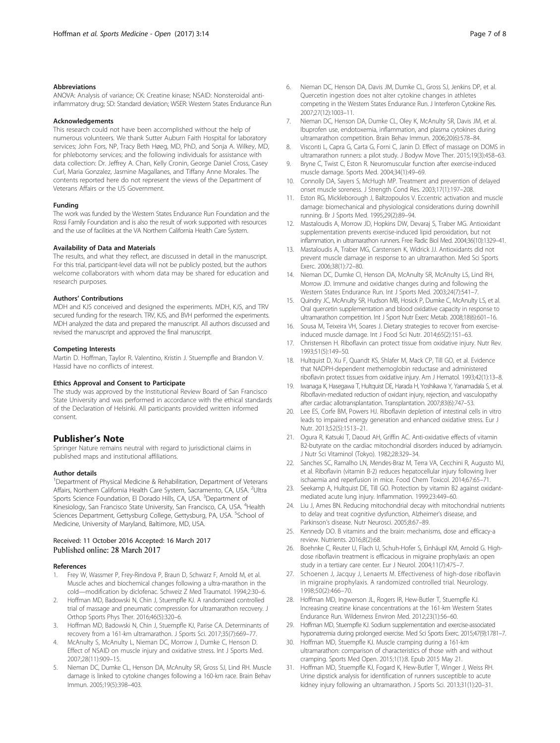### <span id="page-6-0"></span>Abbreviations

ANOVA: Analysis of variance; CK: Creatine kinase; NSAID: Nonsteroidal antiinflammatory drug; SD: Standard deviation; WSER: Western States Endurance Run

#### Acknowledgements

This research could not have been accomplished without the help of numerous volunteers. We thank Sutter Auburn Faith Hospital for laboratory services; John Fors, NP, Tracy Beth Høeg, MD, PhD, and Sonja A. Wilkey, MD, for phlebotomy services; and the following individuals for assistance with data collection: Dr. Jeffrey A. Chan, Kelly Cronin, George Daniel Cross, Casey Curl, Maria Gonzalez, Jasmine Magallanes, and Tiffany Anne Morales. The contents reported here do not represent the views of the Department of Veterans Affairs or the US Government.

#### Funding

The work was funded by the Western States Endurance Run Foundation and the Rossi Family Foundation and is also the result of work supported with resources and the use of facilities at the VA Northern California Health Care System.

#### Availability of Data and Materials

The results, and what they reflect, are discussed in detail in the manuscript. For this trial, participant-level data will not be publicly posted, but the authors welcome collaborators with whom data may be shared for education and research purposes.

#### Authors' Contributions

MDH and KJS conceived and designed the experiments. MDH, KJS, and TRV secured funding for the research. TRV, KJS, and BVH performed the experiments. MDH analyzed the data and prepared the manuscript. All authors discussed and revised the manuscript and approved the final manuscript.

#### Competing Interests

Martin D. Hoffman, Taylor R. Valentino, Kristin J. Stuempfle and Brandon V. Hassid have no conflicts of interest.

#### Ethics Approval and Consent to Participate

The study was approved by the Institutional Review Board of San Francisco State University and was performed in accordance with the ethical standards of the Declaration of Helsinki. All participants provided written informed consent.

## Publisher's Note

Springer Nature remains neutral with regard to jurisdictional claims in published maps and institutional affiliations.

#### Author details

<sup>1</sup>Department of Physical Medicine & Rehabilitation, Department of Veterans Affairs, Northern California Health Care System, Sacramento, CA, USA. <sup>2</sup>Ultra Sports Science Foundation, El Dorado Hills, CA, USA. <sup>3</sup>Department of Kinesiology, San Francisco State University, San Francisco, CA, USA. <sup>4</sup>Health Sciences Department, Gettysburg College, Gettysburg, PA, USA. <sup>5</sup>School of Medicine, University of Maryland, Baltimore, MD, USA.

# Received: 11 October 2016 Accepted: 16 March 2017 Published online: 28 March 2017

#### References

- 1. Frey W, Wassmer P, Frey-Rindova P, Braun D, Schwarz F, Arnold M, et al. Muscle aches and biochemical changes following a ultra-marathon in the cold—modification by diclofenac. Schweiz Z Med Traumatol. 1994;2:30–6.
- 2. Hoffman MD, Badowski N, Chin J, Stuempfle KJ. A randomized controlled trial of massage and pneumatic compression for ultramarathon recovery. J Orthop Sports Phys Ther. 2016;46(5):320–6.
- 3. Hoffman MD, Badowski N, Chin J, Stuempfle KJ, Parise CA. Determinants of recovery from a 161-km ultramarathon. J Sports Sci. 2017;35(7):669–77.
- McAnulty S, McAnulty L, Nieman DC, Morrow J, Dumke C, Henson D. Effect of NSAID on muscle injury and oxidative stress. Int J Sports Med. 2007;28(11):909–15.
- 5. Nieman DC, Dumke CL, Henson DA, McAnulty SR, Gross SJ, Lind RH. Muscle damage is linked to cytokine changes following a 160-km race. Brain Behav Immun. 2005;19(5):398–403.
- 6. Nieman DC, Henson DA, Davis JM, Dumke CL, Gross SJ, Jenkins DP, et al. Quercetin ingestion does not alter cytokine changes in athletes competing in the Western States Endurance Run. J Interferon Cytokine Res. 2007;27(12):1003–11.
- 7. Nieman DC, Henson DA, Dumke CL, Oley K, McAnulty SR, Davis JM, et al. Ibuprofen use, endotoxemia, inflammation, and plasma cytokines during ultramarathon competition. Brain Behav Immun. 2006;20(6):578–84.
- 8. Visconti L, Capra G, Carta G, Forni C, Janin D. Effect of massage on DOMS in ultramarathon runners: a pilot study. J Bodyw Move Ther. 2015;19(3):458–63.
- 9. Bryne C, Twist C, Eston R. Neuromuscular function after exercise-induced muscle damage. Sports Med. 2004;34(1):49–69.
- 10. Connolly DA, Sayers S, McHugh MP. Treatment and prevention of delayed onset muscle soreness. J Strength Cond Res. 2003;17(1):197–208.
- 11. Eston RG, Mickleborough J, Baltzopoulos V. Eccentric activation and muscle damage: biomechanical and physiological considerations during downhill running. Br J Sports Med. 1995;29(2):89–94.
- 12. Mastaloudis A, Morrow JD, Hopkins DW, Devaraj S, Traber MG. Antioxidant supplementation prevents exercise-induced lipid peroxidation, but not inflammation, in ultramarathon runners. Free Radic Biol Med. 2004;36(10):1329–41.
- 13. Mastaloudis A, Traber MG, Carstensen K, Widrick JJ. Antioxidants did not prevent muscle damage in response to an ultramarathon. Med Sci Sports Exerc. 2006;38(1):72–80.
- 14. Nieman DC, Dumke CI, Henson DA, McAnulty SR, McAnulty LS, Lind RH, Morrow JD. Immune and oxidative changes during and following the Western States Endurance Run. Int J Sports Med. 2003;24(7):541–7.
- 15. Quindry JC, McAnulty SR, Hudson MB, Hosick P, Dumke C, McAnulty LS, et al. Oral quercetin supplementation and blood oxidative capacity in response to ultramarathon competition. Int J Sport Nutr Exerc Metab. 2008;18(6):601–16.
- 16. Sousa M, Teixeira VH, Soares J. Dietary strategies to recover from exerciseinduced muscle damage. Int J Food Sci Nutr. 2014;65(2):151–63.
- 17. Christensen H. Riboflavin can protect tissue from oxidative injury. Nutr Rev. 1993;51(5):149–50.
- 18. Hultquist D, Xu F, Quandt KS, Shlafer M, Mack CP, Till GO, et al. Evidence that NADPH-dependent methemoglobin reductase and administered riboflavin protect tissues from oxidative injury. Am J Hematol. 1993;42(1):13–8.
- 19. Iwanaga K, Hasegawa T, Hultquist DE, Harada H, Yoshikawa Y, Yanamadala S, et al. Riboflavin-mediated reduction of oxidant injury, rejection, and vasculopathy after cardiac allotransplantation. Transplantation. 2007;83(6):747–53.
- 20. Lee ES, Corfe BM, Powers HJ. Riboflavin depletion of intestinal cells in vitro leads to impaired energy generation and enhanced oxidative stress. Eur J Nutr. 2013;52(5):1513–21.
- 21. Ogura R, Katsuki T, Daoud AH, Griffin AC. Anti-oxidative effects of vitamin B2-butyrate on the cardiac mitochondrial disorders induced by adriamycin. J Nutr Sci Vitaminol (Tokyo). 1982;28:329–34.
- 22. Sanches SC, Ramalho LN, Mendes-Braz M, Terra VA, Cecchini R, Augusto MJ, et al. Riboflavin (vitamin B-2) reduces hepatocellular injury following liver ischaemia and reperfusion in mice. Food Chem Toxicol. 2014;67:65–71.
- 23. Seekamp A, Hultquist DE, Till GO. Protection by vitamin B2 against oxidantmediated acute lung injury. Inflammation. 1999;23:449–60.
- 24. Liu J, Ames BN. Reducing mitochondrial decay with mitochondrial nutrients to delay and treat cognitive dysfunction, Alzheimer's disease, and Parkinson's disease. Nutr Neurosci. 2005;8:67–89.
- 25. Kennedy DO. B vitamins and the brain: mechanisms, dose and efficacy-a review. Nutrients. 2016;8(2):68.
- 26. Boehnke C, Reuter U, Flach U, Schuh-Hofer S, Einhäupl KM, Arnold G. Highdose riboflavin treatment is efficacious in migraine prophylaxis: an open study in a tertiary care center. Eur J Neurol. 2004;11(7):475–7.
- 27. Schoenen J, Jacquy J, Lenaerts M. Effectiveness of high-dose riboflavin in migraine prophylaxis. A randomized controlled trial. Neurology. 1998;50(2):466–70.
- 28. Hoffman MD, Ingwerson JL, Rogers IR, Hew-Butler T, Stuempfle KJ. Increasing creatine kinase concentrations at the 161-km Western States Endurance Run. Wilderness Environ Med. 2012;23(1):56–60.
- 29. Hoffman MD, Stuempfle KJ. Sodium supplementation and exercise-associated hyponatremia during prolonged exercise. Med Sci Sports Exerc. 2015;47(9):1781–7.
- 30. Hoffman MD, Stuempfle KJ. Muscle cramping during a 161-km ultramarathon: comparison of characteristics of those with and without cramping. Sports Med Open. 2015;1(1):8. Epub 2015 May 21.
- 31. Hoffman MD, Stuempfle KJ, Fogard K, Hew-Butler T, Winger J, Weiss RH. Urine dipstick analysis for identification of runners susceptible to acute kidney injury following an ultramarathon. J Sports Sci. 2013;31(1):20–31.